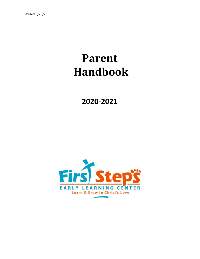# **Parent Handbook**

**2020-2021**

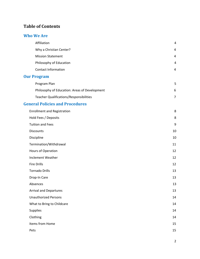# **Table of Contents**

#### **Who We Are**

| Affiliation                                    | $\overline{4}$ |
|------------------------------------------------|----------------|
| Why a Christian Center?                        | 4              |
| <b>Mission Statement</b>                       | 4              |
| Philosophy of Education                        | 4              |
| <b>Contact Information</b>                     | 4              |
| <b>Our Program</b>                             |                |
| Program Plan                                   | 5              |
| Philosophy of Education: Areas of Development  | 6              |
| <b>Teacher Qualifications/Responsibilities</b> | $\overline{7}$ |
| <b>General Policies and Procedures</b>         |                |
| <b>Enrollment and Registration</b>             | 8              |
| Hold Fees / Deposits                           | 8              |
| <b>Tuition and Fees</b>                        | 9              |
| <b>Discounts</b>                               | 10             |
| Discipline                                     | 10             |
| Termination/Withdrawal                         | 11             |
| Hours of Operation                             | 12             |
| Inclement Weather                              | 12             |
| <b>Fire Drills</b>                             | 12             |
| <b>Tornado Drills</b>                          | 13             |
| Drop-In Care                                   | 13             |
| Absences                                       | 13             |

Arrival and Departures 13 Unauthorized Persons 14 What to Bring to Childcare 14 Supplies and the set of the set of the set of the set of the set of the set of the set of the set of the set of the set of the set of the set of the set of the set of the set of the set of the set of the set of the set of Clothing 14

| ັ               |         |
|-----------------|---------|
| Items from Home | 15<br>ᅩ |
| Pets            | 15      |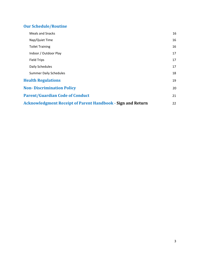# **Our Schedule/Routine**

| <b>Meals and Snacks</b>                                            | 16 |
|--------------------------------------------------------------------|----|
| Nap/Quiet Time                                                     | 16 |
| <b>Toilet Training</b>                                             | 16 |
| Indoor / Outdoor Play                                              | 17 |
| <b>Field Trips</b>                                                 | 17 |
| Daily Schedules                                                    | 17 |
| <b>Summer Daily Schedules</b>                                      | 18 |
| <b>Health Regulations</b>                                          | 19 |
| <b>Non-Discrimination Policy</b>                                   | 20 |
| <b>Parent/Guardian Code of Conduct</b>                             | 21 |
| <b>Acknowledgment Receipt of Parent Handbook - Sign and Return</b> | 22 |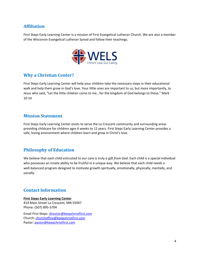## **Affiliation**

First Steps Early Learning Center is a mission of First Evangelical Lutheran Church. We are also a member of the Wisconsin Evangelical Lutheran Synod and follow their teachings.



# **Why a Christian Center?**

First Steps Early Learning Center will help your children take the necessary steps in their educational walk and help them grow in God's love. Your little ones are important to us, but more importantly, to Jesus who said, "Let the little children come to me...for the kingdom of God belongs to these." Mark 10:14

## **Mission Statement**

First Steps Early Learning Center exists to serve the La Crescent community and surrounding areas providing childcare for children ages 6 weeks to 12 years. First Steps Early Learning Center provides a safe, loving environment where children learn and grow in Christ's love.

## **Philosophy of Education**

We believe that each child entrusted to our care is truly *a gift from God*. Each child is a special individual who possesses an innate ability to be fruitful in a unique way. We believe that each child needs a well-balanced program designed to motivate growth spiritually, emotionally, physically, mentally, and socially.

## **Contact Information**

**First Steps Early Learning Center** 414 Main Street La Crescent, MN 55947 Phone: (507) 895-5704

Email First Steps: [director@keepchristfirst.com](mailto:director@keepchristfirst.com) Church: [churchoffice@keepchristfirst.com](mailto:churchoffice@keepchristfirst.com) Pastor: [pastor@keepchristfirst.com](mailto:pastor@keepchristfirst.com)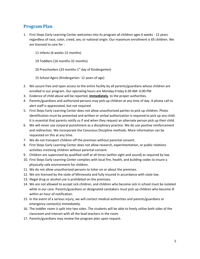## **Program Plan**

- 1. First Steps Early Learning Center welcomes into its program all children ages 6 weeks 12 years regardless of race, color, creed, sex, or national origin. Our maximum enrollment is 65 children. We are licensed to care for :
	- 11 Infants (6 weeks-15 months)
	- 19 Toddlers (16 months-32 months)

20 Preschoolers (33 months-1<sup>st</sup> day of Kindergarten)

15 School Agers (Kindergarten- 12 years of age)

- 2. We assure free and open access to the entire facility by all parents/guardians whose children are enrolled in our program. Our operating hours are Monday-Friday 6:30 AM- 6:00 PM
- 3. Evidence of child abuse will be reported, **immediately**, to the proper authorities.
- 4. Parents/guardians and authorized persons may pick up children at any time of day. A phone call to alert staff is appreciated, but not required.
- 5. First Steps Early Learning Center does not allow unauthorized parties to pick up children. Photo identification must be presented and written or verbal authorization is required to pick up any child. It is essential that parents notify us if and when they request an alternate person pick up their child.
- 6. We will never use corporal punishment as a disciplinary practice. We do use positive reinforcement and redirection. We incorporate the Conscious Discipline methods. More information can be requested on this at any time.
- 7. We do not transport children off the premises without parental consent.
- 8. First Steps Early Learning Center does not allow research, experimentation, or public relations activities involving children without parental consent.
- 9. Children are supervised by qualified staff at all times (within sight and sound) as required by law.
- 10. First Steps Early Learning Center complies with local fire, health, and building codes to insure a physically safe environment for children.
- 11. We do not allow unauthorized persons to loiter on or about the premises.
- 12. We are licensed by the state of Minnesota and fully insured in accordance with state law.
- 13. Illegal drug or alcohol use is prohibited on the premises.
- 14. We are not allowed to accept sick children, and children who become sick in school must be isolated while in our care. Parents/guardians or designated caretakers must pick up children who become ill within an hour of notification.
- 15. In the event of a serious injury, we will contact medical authorities and parents/guardians or emergency contact(s) immediately.
- 16. The toddler room is split into two sides. The students will be able to freely utilize both sides of the classroom and interact with all the lead teachers in the room.
- 17. Parents/guardians may review the program plan upon request.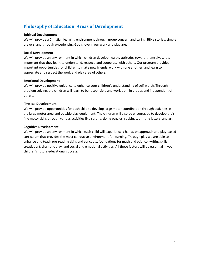# **Philosophy of Education: Areas of Development**

#### **Spiritual Development**

We will provide a Christian learning environment through group concern and caring, Bible stories, simple prayers, and through experiencing God's love in our work and play area.

#### **Social Development**

We will provide an environment in which children develop healthy attitudes toward themselves. It is important that they learn to understand, respect, and cooperate with others. Our program provides important opportunities for children to make new friends, work with one another, and learn to appreciate and respect the work and play area of others.

#### **Emotional Development**

We will provide positive guidance to enhance your children's understanding of self-worth. Through problem solving, the children will learn to be responsible and work both in groups and independent of others.

#### **Physical Development**

We will provide opportunities for each child to develop large motor coordination through activities in the large motor area and outside play equipment. The children will also be encouraged to develop their fine motor skills through various activities like sorting, doing puzzles, rubbings, printing letters, and art.

#### **Cognitive Development**

We will provide an environment in which each child will experience a hands-on approach and play-based curriculum that provides the most conducive environment for learning. Through play we are able to enhance and teach pre-reading skills and concepts, foundations for math and science, writing skills, creative art, dramatic play, and social and emotional activities. All these factors will be essential in your children's future educational success.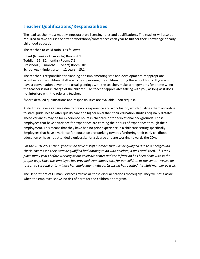# **Teacher Qualifications/Responsibilities**

The lead teacher must meet Minnesota state licensing rules and qualifications. The teacher will also be required to take courses or attend workshops/conferences each year to further their knowledge of early childhood education.

The teacher-to-child ratio is as follows:

Infant (6 weeks - 15 months) Room: 4:1 Toddler (16 - 32 months) Room: 7:1 Preschool (33 months – 5 years) Room: 10:1 School Age (Kindergarten - 12 years): 15:1

The teacher is responsible for planning and implementing safe and developmentally appropriate activities for the children. Staff are to be supervising the children during the school hours. If you wish to have a conversation beyond the usual greetings with the teacher, make arrangements for a time when the teacher is not in charge of the children. The teacher appreciates talking with you, as long as it does not interfere with the role as a teacher.

\*More detailed qualifications and responsibilities are available upon request.

A staff may have a variance due to previous experience and work history which qualifies them according to state guidelines to offer quality care at a higher level than their education studies originally dictates. These variances may be for experience hours in childcare or for educational backgrounds. Those employees that have a variance for experience are earning their hours of experience through their employment. This means that they have had no prior experience in a childcare setting specifically. Employees that have a variance for education are working towards furthering their early childhood education or have not attended a university for a degree and are working towards the CDA.

*For the 2020-2021 school year we do have a staff member that was disqualified due to a background* check. The reason they were disqualified had nothing to do with children, it was retail theft. This took place many years before working at our childcare center and the infraction has been dealt with in the proper way. Since this employee has provided tremendous care for our children at the center, we see no *reason to suspend or terminate her employment with us. Licensing has verified this staff member as well.*

The Department of Human Services reviews all these disqualifications thoroughly. They will set it aside when the employee shows no risk of harm for the children or program.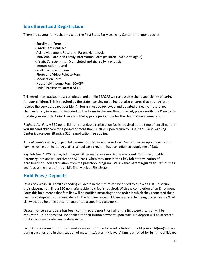# **Enrollment and Registration**

There are several forms that make up the First Steps Early Learning Center enrollment packet:

-Enrollment Form -Enrollment Contract -Acknowledgment Receipt of Parent Handbook -Individual Care Plan Family Information Form (children 6 weeks to age 2) -*Health Care Summary* (completed and signed by a physician) -Immunization record -Walk Permission Form -Photo and Video Release Form -Medication Form -Household Income Form (CACFP) -Child Enrollment Form (CACFP)

This enrollment packet must completed and on file *BEFORE* we can assume the responsibility of caring for your children. This is required by the state licensing guideline but also ensures that your children receive the very best care possible. All forms must be reviewed and updated annually. If there are changes to any information included on the forms in the enrollment packet, please notify the Director to update your records. *Note*: There is a 30-day grace period rule for the Health Care Summary form.

*Registration Fee:* A \$50 per child non-refundable registration fee is required at the time of enrollment. If you suspend childcare for a period of more than 90 days, upon return to First Steps Early Learning Center (space permitting), a \$25 reapplication fee applies.

*Annual Supply Fee*: A \$65 per child annual supply fee is charged each September, or upon registration. Families using our School Age after-school care program have an adjusted supply fee of \$35.

*Key Fob Fee:* A \$25 per key fob charge will be made on every Procare account. This is refundable. Parents/guardians will receive the \$25 back when they turn in their key fob at termination of enrollment or upon graduation from the preschool program. We ask that parents/guardians return their key fobs at the start of the child's final week at First Steps.

## **Hold Fees / Deposits**

*Hold Fee /Wait List:* Families needing childcare in the future can be added to our Wait List. To secure their placement in line a \$50 non-refundable hold fee is required. With the completion of an Enrollment Form this hold means that families will be notified according to the order in which they requested their seat. First Steps will communicate with the families once childcare is available. Being placed on the Wait List without a hold fee does not guarantee a spot in a classroom.

*Deposit:* Once a start date has been confirmed a deposit for half of the first week's tuition will be requested. This deposit will be applied to their tuition payment upon start. No deposit will be accepted until a confirmed date can be determined.

*Long Absences/Vacation Time*: Families are responsible for weekly tuition to hold your child(ren)'s space during vacation and in the situation of maternity/paternity leave. A family enrolled for full time childcare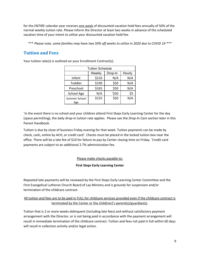for the *ENTIRE* calendar year receives one week of discounted vacation hold fees annually of 50% of the normal weekly tuition rate. Please inform the Director at least two weeks in advance of the scheduled vacation time of your intent to utilize your discounted vacation hold fee.

\*\*\* Please note, some families may have two 50% off weeks to utilize in 2020 due to COVID 19 \*\*\*

# **Tuition and Fees**

|                      | <b>Tuition Schedule</b> |         |        |
|----------------------|-------------------------|---------|--------|
|                      |                         |         |        |
|                      | Weekly                  | Drop-In | Hourly |
| Infant               | \$210                   | N/A     | N/A    |
| Toddler              | \$190                   | \$50    | N/A    |
| Preschool            | \$165                   | \$50    | N/A    |
| School Age           | N/A                     | *\$50   | \$5    |
| Summer School<br>Age | \$155                   | \$50    | N/A    |

Your tuition rate(s) is outlined on your Enrollment Contract(s).

\* In the event there is no school and your children attend First Steps Early Learning Center for the day (space permitting), the daily drop-in tuition rate applies. Please see the *Drop-In Care* section later in this Parent Handbook.

Tuition is due by close of business Friday evening for that week. Tuition payments can be made by check, cash, online by ACH, or credit card<sup>\*</sup>. Checks must be placed in the locked tuition box near the office. There will be a late fee of \$10 for failure to pay by Center closing time on Friday. \*Credit card payments are subject to an additional 2.7% administration fee.

#### Please make checks payable to:

#### **First Steps Early Learning Center**

Repeated late payments will be reviewed by the First Steps Early Learning Center Committee and the First Evangelical Lutheran Church Board of Lay Ministry and is grounds for suspension and/or termination of the childcare contract.

#### All tuition and fees are to be paid in FULL for childcare services provided even if the childcare contract is terminated by the Center or the child(ren)'s parent(s)/guardian(s).

Tuition that is 2 or more weeks delinquent (including late fees) and without satisfactory payment arrangement with the Director, or is not being paid in accordance with the payment arrangement will result in immediate termination of the childcare contract. Tuition and fees not paid in full within 60 days will result in collection activity and/or legal action.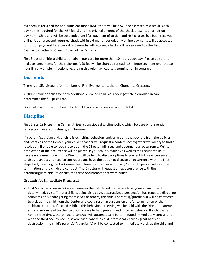If a check is returned for non-sufficient funds (NSF) there will be a \$25 fee assessed as a result. Cash payment is required for the NSF fee(s) and the original amount of the check presented for tuition payment. Childcare will be suspended until full payment of tuition and NSF charges has been received online. Upon a second returned check within a 6 month period, only online payments will be accepted for tuition payment for a period of 3 months. All returned checks will be reviewed by the First Evangelical Lutheran Church Board of Lay Ministry.

First Steps prohibits a child to remain in our care for more than 10 hours each day. Please be sure to make arrangements for their pick up. A \$5 fee will be charged for each 15 minute segment over the 10 hour limit. Multiple infractions regarding this rule may lead to a termination in contract.

## **Discounts**

There is a 15% discount for members of First Evangelical Lutheran Church, La Crescent.

A 20% discount applies for each additional enrolled child. Your youngest child enrolled in care determines the full price rate.

Discounts cannot be combined. Each child can receive one discount in total.

# **Discipline**

First Steps Early Learning Center utilizes a conscious discipline policy, which focuses on prevention, redirection, love, consistency, and firmness.

If a parent/guardian and/or child is exhibiting behaviors and/or actions that deviate from the policies and practices of the Center, your child's teacher will request a conference; together we will try to find a resolution. If unable to reach resolution, the Director will issue and document an occurrence. Written notification of the occurrence will be placed in your child's mailbox as well as their student file. If necessary, a meeting with the Director will be held to discuss options to prevent future occurrences or to dispute an occurrence. Parents/guardians have the option to dispute an occurrence with the First Steps Early Learning Center Committee. Three occurrences within any 12 month period will result in termination of the childcare contract. The Director will request an exit conference with the parent(s)/guardian(s) to discuss the three occurrences that were issued.

#### **Grounds for Immediate Dismissal:**

● First Steps Early Learning Center reserves the right to refuse service to anyone at any time. If it is determined, by staff that a child is being disruptive, destructive, disrespectful, has repeated discipline problems or is endangering themselves or others, the child's parent(s)/guardian(s) will be contacted to pick-up the child from the Center and could result in suspension and/or termination of the childcare contract. If a child exhibits this behavior, a meeting will be held with the Director, parents and classroom lead teacher to discuss ways to help prevent and improve behavior. If a child is sent home three times, the childcare contract will automatically be terminated immediately concurrent with the third occurrence. In severe cases where a child intentionally causes great harm or destruction, the child's parent(s)/guardian(s) will be contacted to immediately pick up the child and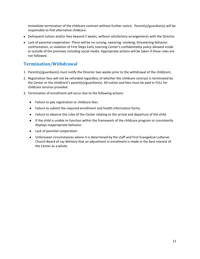immediate termination of the childcare contract without further notice. Parent(s)/guardian(s) will be responsible to find alternative childcare.

- Delinquent tuition and/or fees beyond 2 weeks, without satisfactory arrangements with the Director.
- Lack of parental cooperation: There will be no cursing, swearing, smoking, threatening behavior, confrontation, or violation of First Steps Early Learning Center's confidentiality policy allowed inside or outside of the premises including social media. Appropriate actions will be taken if these rules are not followed.

## **Termination/Withdrawal**

- 1. Parent(s)/guardian(s) must notify the Director two weeks prior to the withdrawal of the child(ren).
- 2. Registration fees will not be refunded regardless of whether the childcare contract is terminated by the Center or the child(ren)'s parent(s)/guardian(s). All tuition and fees must be paid in FULL for childcare services provided.
- 3. Termination of enrollment will occur due to the following actions:
	- Failure to pay registration or childcare fees.
	- Failure to submit the required enrollment and health information forms.
	- Failure to observe the rules of the Center relating to the arrival and departure of the child.
	- If the child is unable to function within the framework of the childcare program or consistently displays inappropriate behavior.
	- Lack of parental cooperation.
	- Unforeseen circumstances where it is determined by the staff and First Evangelical Lutheran Church Board of Lay Ministry that an adjustment in enrollment is made in the best interest of the Center as a whole.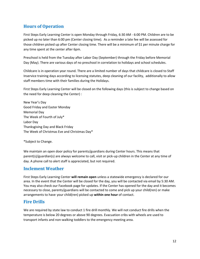# **Hours of Operation**

First Steps Early Learning Center is open Monday through Friday, 6:30 AM - 6:00 PM. Children are to be picked up no later than 6:00 pm (Center closing time). As a reminder a late fee will be assessed for those children picked up after Center closing time. There will be a minimum of \$1 per minute charge for any time spent at the center after 6pm.

Preschool is held from the Tuesday after Labor Day (September) through the Friday before Memorial Day (May). There are various days of no preschool in correlation to holidays and school schedules.

Childcare is in operation year round. There are a limited number of days that childcare is closed to Staff Inservice training days according to licensing statutes, deep cleaning of our facility, additionally to allow staff members time with their families during the Holidays.

First Steps Early Learning Center will be closed on the following days (this is subject to change based on the need for deep cleaning the Center) :

New Year's Day Good Friday and Easter Monday Memorial Day The Week of Fourth of July\* Labor Day Thanksgiving Day and Black Friday The Week of Christmas Eve and Christmas Day\*

\*Subject to Change.

We maintain an open door policy for parents/guardians during Center hours. This means that parent(s)/guardian(s) are always welcome to call, visit or pick-up children in the Center at any time of day. A phone call to alert staff is appreciated, but not required.

## **Inclement Weather**

First Steps Early Learning Center **will remain open** unless a statewide emergency is declared for our area. In the event that the Center will be closed for the day, you will be contacted via email by 5:30 AM. You may also check our Facebook page for updates. If the Center has opened for the day and it becomes necessary to close, parents/guardians will be contacted to come and pick up your child(ren) or make arrangements to have your child(ren) picked up **within one hour** of contact.

## **Fire Drills**

We are required by state law to conduct 1 fire drill monthly. We will not conduct fire drills when the temperature is below 20 degrees or above 90 degrees. Evacuation cribs with wheels are used to transport infants and non-walking toddlers to the emergency meeting area.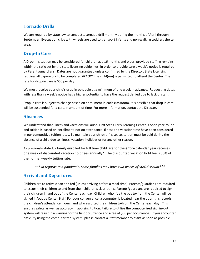# **Tornado Drills**

We are required by state law to conduct 1 tornado drill monthly during the months of April through September. Evacuation cribs with wheels are used to transport infants and non-walking toddlers shelter area.

# **Drop-In Care**

A Drop-In situation may be considered for children age 16 months and older, provided staffing remains within the ratio set by the state licensing guidelines. In order to provide care a week's notice is required by Parents/guardians. Dates are not guaranteed unless confirmed by the Director. State Licensing requires all paperwork to be completed *BEFORE* the child(ren) is permitted to attend the Center. The rate for drop-in care is \$50 per day.

We must receive your child's drop-in schedule at a minimum of one week in advance. Requesting dates with less than a week's notice has a higher potential to have the request denied due to lack of staff.

Drop in care is subject to change based on enrollment in each classroom. It is possible that drop in care will be suspended for a certain amount of time. For more information, contact the Director.

# **Absences**

We understand that illness and vacations will arise. First Steps Early Learning Center is open year-round and tuition is based on enrollment, not on attendance. Illness and vacation time have been considered in our competitive tuition rates. To maintain your child(ren)'s space, tuition must be paid during the absence of a child due to illness, vacation, holidays or for any other reason.

As previously stated, a family enrolled for full time childcare for the **entire** calendar year receives one week of discounted vacation hold fees annually\*. The discounted vacation hold fee is 50% of the normal weekly tuition rate.

*\*\*\* In regards to a pandemic, some families may have two weeks of 50% discount\*\*\**

# **Arrival and Departures**

Children are to arrive clean and fed (unless arriving before a meal time). Parents/guardians are required to escort their children to and from their children's classrooms. Parents/guardians are required to sign their children in and out of the Center each day. Children who ride the bus to/from the Center will be signed in/out by Center Staff. For your convenience, a computer is located near the door, this records the children's attendance, hours, and who escorted the children to/from the Center each day. This ensures safety as well as accuracy in applying tuition. Failure to utilize the computerized sign in/out system will result in a warning for the first occurrence and a fee of \$50 per occurrence. If you encounter difficulty using the computerized system, please contact a Staff member to assist as soon as possible.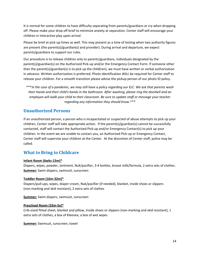It is normal for some children to have difficulty separating from parents/guardians or cry when dropping off. Please make your drop off brief to minimize anxiety at separation. Center staff will encourage your children in interactive play upon arrival.

Please be brief at pick-up times as well. This may present as a time of testing when two authority figures are present (the parent(s)/guardian(s) and provider). During arrival and departure, we expect parents/guardians to support our rules.

Our procedure is to release children only to parents/guardians, individuals designated by the parent(s)/guardian(s) on the Authorized Pick-up and/or the Emergency Contact Form. If someone other than the parent(s)/guardian(s) is to pick up the child(ren), we must have written or verbal authorization in advance. Written authorization is preferred. Photo identification *WILL* be required for Center staff to release your children. For a smooth transition please advise the pickup person of our photo ID policy.

\*\*\*In the case of a pandemic, we may still have a policy regarding our ELC. We ask that parents wash *their hands and their child's hands in the bathroom. After washing, please ring the doorbell and an employee will walk your child to their classroom. Be sure to update staff or message your teacher regarding any information they should know.\*\*\**

## **Unauthorized Persons**

If an unauthorized person, a person who is incapacitated or suspected of abuse attempts to pick up your children, Center staff will take appropriate action. If the parent(s)/guardian(s) cannot be successfully contacted, staff will contact the Authorized Pick-up and/or Emergency Contact(s) to pick up your children. In the event we are unable to contact you, an Authorized Pick-up or Emergency Contact, Center staff will supervise your children at the Center. At the discretion of Center staff, police may be called.

## **What to Bring to Childcare**

#### **Infant Room (6wks-15m)\***

Diapers, wipes, powder, ointment, Nuk/pacifier, 3-4 bottles, breast milk/formula, 2 extra sets of clothes. **Summer:** Swim diapers, swimsuit, sunscreen

#### **Toddler Room (16m-32m)\***

Diapers/pull-ups, wipes, diaper cream, Nuk/pacifier (if needed), blanket, inside shoes or slippers (non-marking and skid resistant), 2 extra sets of clothes

**Summer:** Swim diapers, swimsuit, sunscreen

#### **Preschool Room (33m-5y)\***

Crib-sized fitted sheet, blanket and pillow, inside shoes or slippers (non-marking and skid resistant), 1 extra sets of clothes, a box of Kleenex, a box of wet wipes

**Summer:** Swimsuit, sunscreen, towel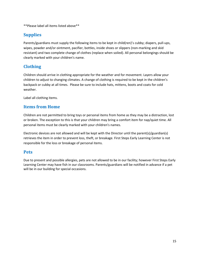\*\*Please label all items listed above\*\*

# **Supplies**

Parents/guardians must supply the following items to be kept in child(ren)'s cubby; diapers, pull-ups, wipes, powder and/or ointment, pacifier, bottles, inside shoes or slippers (non-marking and skid resistant) and two complete change of clothes (replace when soiled). All personal belongings should be clearly marked with your children's name.

# **Clothing**

Children should arrive in clothing appropriate for the weather and for movement. Layers allow your children to adjust to changing climates. A change of clothing is required to be kept in the children's backpack or cubby at all times. Please be sure to include hats, mittens, boots and coats for cold weather.

Label all clothing items.

#### **Items from Home**

Children are not permitted to bring toys or personal items from home as they may be a distraction, lost or broken. The exception to this is that your children may bring a comfort item for nap/quiet time. All personal items must be clearly marked with your children's names.

Electronic devices are not allowed and will be kept with the Director until the parent(s)/guardian(s) retrieves the item in order to prevent loss, theft, or breakage. First Steps Early Learning Center is not responsible for the loss or breakage of personal items.

#### **Pets**

Due to present and possible allergies, pets are not allowed to be in our facility; however First Steps Early Learning Center may have fish in our classrooms. Parents/guardians will be notified in advance if a pet will be in our building for special occasions.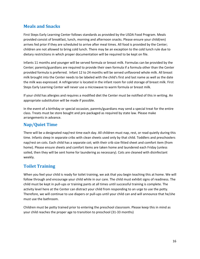# **Meals and Snacks**

First Steps Early Learning Center follows standards as provided by the USDA Food Program. Meals provided consist of breakfast, lunch, morning and afternoon snacks. Please ensure your child(ren) arrives fed prior if they are scheduled to arrive after meal times. All food is provided by the Center; children are not allowed to bring cold lunch. There may be an exception to the cold lunch rule due to dietary restrictions in which proper documentation will be required to be kept on file.

Infants 11 months and younger will be served formula or breast milk. Formulas can be provided by the Center; parents/guardians are required to provide their own formula if a formula other than the Center provided formula is preferred. Infant 12 to 24 months will be served unflavored whole milk. All breast milk brought into the Center needs to be labeled with the child's first and last name as well as the date the milk was expressed. A refrigerator is located in the infant room for cold storage of breast milk. First Steps Early Learning Center will never use a microwave to warm formula or breast milk.

If your child has allergies and requires a modified diet the Center must be notified of this in writing. An appropriate substitution will be made if possible.

In the event of a birthday or special occasion, parents/guardians may send a special treat for the entire class. Treats must be store bought and pre-packaged as required by state law. Please make arrangements in advance.

## **Nap/Quiet Time**

There will be a designated nap/rest time each day. All children must nap, rest, or read quietly during this time. Infants sleep in separate cribs with clean sheets used only by that child. Toddlers and preschoolers nap/rest on cots. Each child has a separate cot; with their crib size fitted sheet and comfort item (from home). Please ensure sheets and comfort items are taken home and laundered each Friday (unless soiled, then they will be sent home for laundering as necessary). Cots are cleaned with disinfectant weekly.

## **Toilet Training**

When you feel your child is ready for toilet training, we ask that you begin teaching this at home. We will follow through and encourage your child while in our care. The child must exhibit signs of readiness. The child must be kept in pull-ups or training pants at all times until successful training is complete. The activity level here at the Center can distract your child from responding to an urge to use the potty. Therefore, we will continue to use diapers or pull-ups until your child can and will announce that he/she must use the bathroom.

Children must be potty trained prior to entering the preschool classroom. Please keep this in mind as your child reaches the proper age to transition to preschool (31-33 months)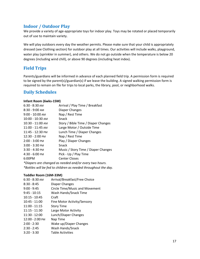## **Indoor / Outdoor Play**

We provide a variety of age-appropriate toys for indoor play. Toys may be rotated or placed temporarily out of use to maintain variety.

We will play outdoors every day the weather permits. Please make sure that your child is appropriately dressed (see Clothing section) for outdoor play at all times. Our activities will include walks, playground, water play (sprinkler in summer), and others. We do not go outside when the temperature is below 20 degrees (including wind chill), or above 90 degrees (including heat index).

## **Field Trips**

Parents/guardians will be informed in advance of each planned field trip. A permission form is required to be signed by the parent(s)/guardian(s) if we leave the building. A signed walking permission form is required to remain on file for trips to local parks, the library, pool, or neighborhood walks.

# **Daily Schedules**

#### **Infant Room (6wks-15M)**

| $6:30 - 8:30$ AM   | Arrival / Play Time / Breakfast                        |
|--------------------|--------------------------------------------------------|
| 8:30 - 9:00 AM     | Diaper Changes                                         |
| $9:00 - 10:00$ AM  | Nap / Rest Time                                        |
| $10:00 - 10:30$ AM | Snack                                                  |
| 10:30 - 11:00 AM   | Story / Bible Time / Diaper Changes                    |
| 11:00 - 11:45 AM   | Large Motor / Outside Time                             |
| 11:45 - 12:30 PM   | Lunch Time / Diaper Changes                            |
| 12:30 - 2:00 PM    | Nap / Rest Time                                        |
| 2:00 - 3:00 PM     | Play / Diaper Changes                                  |
| $3:00 - 3:30$ PM   | Snack                                                  |
| $3:30 - 4:30$ PM   | Music / Story Time / Diaper Changes                    |
| 4:30 - 6:00 PM     | Pick - Up / Play Time                                  |
| 6:00PM             | <b>Center Closes</b>                                   |
|                    | *Diapers are changed as needed and/or every two hours. |
|                    |                                                        |

*\*Bottles will be fed to children as needed throughout the day.*

#### **Toddler Room (16M-33M)**

| $6:30 - 8:30$ AM | Arrival/Breakfast/Free Choice  |
|------------------|--------------------------------|
| $8:30 - 8:45$    | Diaper Changes                 |
| $9:00 - 9:45$    | Circle Time/Music and Movement |
| $9:45 - 10:15$   | Wash Hands/Snack Time          |
| $10:15 - 10:45$  | Craft                          |
| $10:45 - 11:00$  | Fine Motor Activity/Sensory    |
| $11:00 - 11:15$  | <b>Story Time</b>              |
| $11:15 - 11:30$  | Large Motor Activity           |
| $11:30 - 12:00$  | Lunch/Diaper Changes           |
| 12:00 - 2:00 PM  | Nap Time                       |
| $2:00 - 2:30$    | Wake up/Diaper Changes         |
| $2:30 - 2:45$    | Wash Hands/Snack               |
| $3:20 - 3:30$    | <b>Table Activities</b>        |
|                  |                                |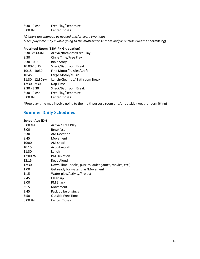3:30 - Close Free Play/Departure 6:00 PM Center Closes

*\*Diapers are changed as needed and/or every two hours. \*Free play time may involve going to the multi-purpose room and/or outside* (weather permitting)

#### **Preschool Room (33M-PK Graduation)**

| 6:30 - 8:30 AM   | Arrival/Breakfast/Free Play    |
|------------------|--------------------------------|
| 8:30             | Circle Time/Free Play          |
| 9:30-10:00       | <b>Bible Story</b>             |
| 10:00-10:15      | Snack/Bathroom Break           |
| $10:15 - 10:30$  | Fine Motor/Puzzles/Craft       |
| 10:45            | Large Motor/Music              |
| 11:30 - 12:30 PM | Lunch/Clean-up/ Bathroom Break |
| $12:30 - 2:30$   | Nap Time                       |
| $2:30 - 3:30$    | Snack/Bathroom Break           |
| 3:30 - Close     | Free Play/Departure            |
| 6:00 PM          | <b>Center Closes</b>           |
|                  |                                |

\*Free play time may involve going to the multi-purpose room and/or outside (weather permitting)

# **Summer Daily Schedules**

| School-Age (K+) |                                                       |
|-----------------|-------------------------------------------------------|
| 6:00 AM         | Arrival/ Free Play                                    |
| 8:00            | <b>Breakfast</b>                                      |
| 8:30            | <b>AM Devotion</b>                                    |
| 8:45            | Movement                                              |
| 10:00           | AM Snack                                              |
| 10:15           | Activity/Craft                                        |
| 11:30           | Lunch                                                 |
| 12:00 PM        | <b>PM Devotion</b>                                    |
| 12:15           | Read Aloud                                            |
| 12:30           | Down Time (books, puzzles, quiet games, movies, etc.) |
| 1:00            | Get ready for water play/Movement                     |
| 1:15            | Water play/Activity/Project                           |
| 2:45            | Clean up                                              |
| 3:00            | <b>PM Snack</b>                                       |
| 3:15            | Movement                                              |
| 3:45            | Pack up belongings                                    |
| 3:50            | <b>Outside Free Time</b>                              |
| 6:00 PM         | <b>Center Closes</b>                                  |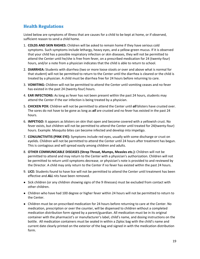# **Health Regulations**

Listed below are symptoms of illness that are causes for a child to be kept at home, or if observed, sufficient reason to send a child home.

- 1. **COLDS AND SKIN RASHES:** Children will be asked to remain home if they have serious cold symptoms. Such symptoms include lethargy, heavy eyes, and a yellow-green mucus. If it is observed that your child has a possible respiratory infection or skin diseases, they will not be permitted to attend the Center until he/she is free from fever, on a prescribed medication for 24 (twenty-four) hours, and/or a note from a physician indicates that the child is able to return to school.
- 2. **DIARRHEA:** Students with diarrhea (two or more loose stools *or* over and above what is normal for that student) will not be permitted to return to the Center until the diarrhea is cleared or the child is treated by a physician. A child must be diarrhea free for 24 hours before returning to care.
- 3. **VOMITING:** Children will not be permitted to attend the Center until vomiting ceases and no fever has existed in the past 24 (twenty-four) hours.
- 4. **EAR INFECTIONS:** As long as fever has not been present within the past 24 hours, students may attend the Center if the ear infection is being treated by a physician.
- 5. **CHICKEN POX:** Children will not be permitted to attend the Center until *all* blisters have crusted over. The sores do not have to be gone as long as *all* are crusted and no fever has existed in the past 24 hours.
- 6. **IMPETIGO:** It appears as blisters on skin that open and become covered with a yellowish crust. No fever exists, but children will not be permitted to attend the Center until treated for 24(twenty-four) hours. Example: Mosquito bites can become infected and develop into impetigo.
- 7. **CONJUNCTIVITIS (PINK EYE):** Symptoms include red eyes, usually with some discharge or crust on eyelids. Children will not be permitted to attend the Center until 24 hours after treatment has begun. This is contagious and will spread easily among children and adults.
- 8. **OTHER COMMUNICABLE DISEASES (Strep Throat, Mumps, Measles etc.):** Children will not be permitted to attend and may return to the Center with a physician's authorization. Children will not be permitted to return until symptoms decrease, or physician's note is provided to and reviewed by the Director. A child may only return to the Center if no fever has existed within the past 24 hours.
- 9. **LICE:** Students found to have lice will not be permitted to attend the Center until treatment has been effective and *ALL* nits have been removed.
- Sick children (or any children showing signs of the 9 illnesses) must be excluded from contact with other children.
- Children who have had 100 degree or higher fever within 24 hours will not be permitted to return to the Center.
- Children must be on prescribed medication for 24 hours before returning to care at the Center. No medication, prescription or over the counter, will be dispensed to children without a completed medication distribution form signed by a parent/guardian. All medication must be in its original container with the pharmacist's or manufacturer's label, child's name, and dosing instructions on the bottle. All medication containers must be sealed in within a Ziploc bag with the child's name and current date clearly printed on the exterior of the bag and signed in with the medication distribution form.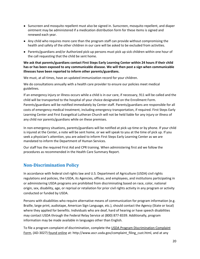- Sunscreen and mosquito repellent must also be signed in. Sunscreen, mosquito repellent, and diaper ointment may be administered if a medication distribution form for these items is signed and renewed each year.
- Any child who requires more care than the program staff can provide without compromising the health and safety of the other children in our care will be asked to be excluded from activities.
- Parents/guardians and/or Authorized pick-up persons must pick up sick children within one hour of the call requesting that the child be sent home.

#### **We ask that parents/guardians contact First Steps Early Learning Center within 24 hours if their child has or has been exposed to any communicable disease. We will then post a sign when communicable illnesses have been reported to inform other parents/guardians.**

We must, at all times, have an updated immunization record for your children.

We do consultations annually with a health care provider to ensure our policies meet medical guidelines.

If an emergency injury or illness occurs while a child is in our care, if necessary, 911 will be called and the child will be transported to the hospital of your choice designated on the Enrollment Form. Parents/guardians will be notified immediately by Center staff. Parents/guardians are responsible for all costs of emergency medical treatment, including emergency transportation, if required. First Steps Early Learning Center and First Evangelical Lutheran Church will not be held liable for any injury or illness of any child nor parents/guardians while on these premises.

In non-emergency situations, parents/guardians will be notified at pick-up time or by phone. If your child is injured at the Center, a note will be sent home, or we will speak to you at the time of pick up. If you seek a physician's attention, you are asked to inform First Steps Early Learning Center as we are mandated to inform the Department of Human Services.

Our staff has the required First Aid and CPR training. When administering first aid we follow the procedures as recommended in the Health Care Summary Report.

# **Non-Discrimination Policy**

In accordance with federal civil rights law and U.S. Department of Agriculture (USDA) civil rights regulations and policies, the USDA, its Agencies, offices, and employees, and institutions participating in or administering USDA programs are prohibited from discriminating based on race, color, national origin, sex, disability, age, or reprisal or retaliation for prior civil rights activity in any program or activity conducted or funded by USDA.

Persons with disabilities who require alternative means of communication for program information (e.g. Braille, large print, audiotape, American Sign Language, etc.), should contact the Agency (State or local) where they applied for benefits. Individuals who are deaf, hard of hearing or have speech disabilities may contact USDA through the Federal Relay Service at (800) 877-8339. Additionally, program information may be made available in languages other than English.

To file a program complaint of discrimination, complete the USDA Program [Discrimination](http://www.ocio.usda.gov/sites/default/files/docs/2012/Complain_combined_6_8_12.pdf) Complaint [Form](http://www.ocio.usda.gov/sites/default/files/docs/2012/Complain_combined_6_8_12.pdf), (AD-3027) found [online](http://www.ascr.usda.gov/complaint_filing_cust.html) at: http://www.ascr.usda.gov/complaint\_filing\_cust.html, and at any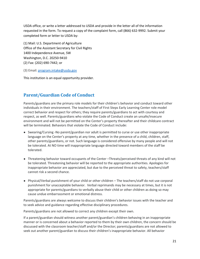USDA office, or write a letter addressed to USDA and provide in the letter all of the information requested in the form. To request a copy of the complaint form, call (866) 632-9992. Submit your completed form or letter to USDA by:

(1) Mail: U.S. Department of Agriculture Office of the Assistant Secretary for Civil Rights 1400 Independence Avenue, SW Washington, D.C. 20250-9410 (2) Fax: (202) 690-7442; or

(3) Email: program.intake@usda.gov

This institution is an equal opportunity provider.

# **Parent/Guardian Code of Conduct**

Parents/guardians are the primary role models for their children's behavior and conduct toward other individuals in their environment. The teachers/staff of First Steps Early Learning Center role model correct behavior and respect for others; they require parents/guardians to act with courtesy and respect, as well. Parents/guardians who violate the Code of Conduct create an unsafe/insecure environment and will not be permitted on the Center's property thereafter and their childcare contract will be terminated. Behaviors that violate the Code of Conduct include:

- Swearing/Cursing -No parent/guardian nor adult is permitted to curse or use other inappropriate language on the Center's property at any time, whether in the presence of a child, children, staff, other parents/guardians, or not. Such language is considered offensive by many people and will not be tolerated. At NO time will inappropriate language directed toward members of the staff be tolerated.
- Threatening behavior toward occupants of the Center –Threats/perceived threats of any kind will not be tolerated. Threatening behavior will be reported to the appropriate authorities. Apologies for inappropriate behavior are appreciated, but due to the perceived threat to safety, teachers/staff cannot risk a second chance.
- Physical/Verbal punishment of your child or other children The teachers/staff do not use corporal punishment for unacceptable behavior. Verbal reprimands may be necessary at times, but it is not appropriate for parents/guardians to verbally abuse their child or other children as doing so may cause undue embarrassment or emotional distress.

Parents/guardians are always welcome to discuss their children's behavior issues with the teacher and to seek advice and guidance regarding effective disciplinary procedures.

Parents/guardians are not allowed to correct any children except their own.

If a parent/guardian should witness another parent/guardian's children behaving in an inappropriate manner or is concerned about a behavior reported to them by their own children, the concern should be discussed with the classroom teacher/staff and/or the Director; parents/guardians are not allowed to seek out another parent/guardian to discuss their children's inappropriate behavior. All behavior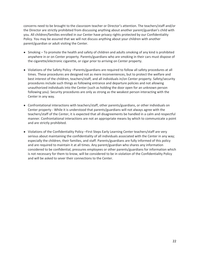concerns need to be brought to the classroom teacher or Director's attention. The teachers/staff and/or the Director are strictly prohibited from discussing anything about another parent/guardian's child with you. All children/families enrolled in our Center have privacy rights protected by our Confidentiality Policy. You may be assured that we will not discuss anything about your children with another parent/guardian or adult visiting the Center.

- Smoking To promote the health and safety of children and adults smoking of any kind is prohibited anywhere in or on Center property. Parents/guardians who are smoking in their cars must dispose of the cigarette/electronic cigarette, or cigar prior to arriving on Center property.
- Violations of the Safety Policy –Parents/guardians are required to follow all safety procedures at all times. These procedures are designed not as mere inconveniences, but to protect the welfare and best interest of the children, teachers/staff, and all individuals in/on Center property. Safety/security procedures include such things as following entrance and departure policies and not allowing unauthorized individuals into the Center (such as holding the door open for an unknown person following you). Security procedures are only as strong as the weakest person interacting with the Center in any way.
- Confrontational interactions with teachers/staff, other parents/guardians, or other individuals on Center property - While it is understood that parents/guardians will not always agree with the teachers/staff of the Center, it is expected that all disagreements be handled in a calm and respectful manner. Confrontational interactions are not an appropriate means by which to communicate a point and are strictly prohibited.
- Violations of the Confidentiality Policy –First Steps Early Learning Center teachers/staff are very serious about maintaining the confidentiality of all individuals associated with the Center in any way; especially the children, their families, and staff. Parents/guardians are fully informed of this policy and are required to maintain it at all times. Any parent/guardian who shares any information considered to be confidential, pressures employees or other parents/guardians for information which is not necessary for them to know, will be considered to be in violation of the Confidentiality Policy and will be asked to sever their connections to the Center.